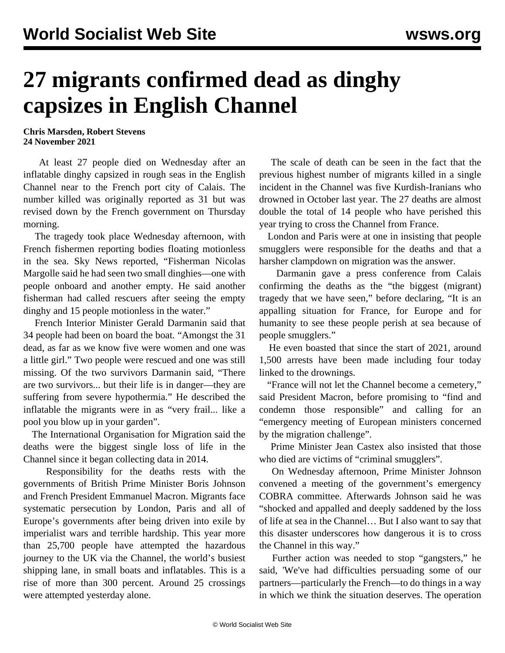## **27 migrants confirmed dead as dinghy capsizes in English Channel**

## **Chris Marsden, Robert Stevens 24 November 2021**

 At least 27 people died on Wednesday after an inflatable dinghy capsized in rough seas in the English Channel near to the French port city of Calais. The number killed was originally reported as 31 but was revised down by the French government on Thursday morning.

 The tragedy took place Wednesday afternoon, with French fishermen reporting bodies floating motionless in the sea. Sky News reported, "Fisherman Nicolas Margolle said he had seen two small dinghies—one with people onboard and another empty. He said another fisherman had called rescuers after seeing the empty dinghy and 15 people motionless in the water."

 French Interior Minister Gerald Darmanin said that 34 people had been on board the boat. "Amongst the 31 dead, as far as we know five were women and one was a little girl." Two people were rescued and one was still missing. Of the two survivors Darmanin said, "There are two survivors... but their life is in danger—they are suffering from severe hypothermia." He described the inflatable the migrants were in as "very frail... like a pool you blow up in your garden".

 The International Organisation for Migration said the deaths were the biggest single loss of life in the Channel since it began collecting data in 2014.

 Responsibility for the deaths rests with the governments of British Prime Minister Boris Johnson and French President Emmanuel Macron. Migrants face systematic persecution by London, Paris and all of Europe's governments after being driven into exile by imperialist wars and terrible hardship. This year more than 25,700 people have attempted the hazardous journey to the UK via the Channel, the world's busiest shipping lane, in small boats and inflatables. This is a rise of more than 300 percent. Around 25 crossings were attempted yesterday alone.

 The scale of death can be seen in the fact that the previous highest number of migrants killed in a single incident in the Channel was five Kurdish-Iranians who drowned in October last year. The 27 deaths are almost double the total of 14 people who have perished this year trying to cross the Channel from France.

 London and Paris were at one in insisting that people smugglers were responsible for the deaths and that a harsher clampdown on migration was the answer.

 Darmanin gave a press conference from Calais confirming the deaths as the "the biggest (migrant) tragedy that we have seen," before declaring, "It is an appalling situation for France, for Europe and for humanity to see these people perish at sea because of people smugglers."

 He even boasted that since the start of 2021, around 1,500 arrests have been made including four today linked to the drownings.

 "France will not let the Channel become a cemetery," said President Macron, before promising to "find and condemn those responsible" and calling for an "emergency meeting of European ministers concerned by the migration challenge".

 Prime Minister Jean Castex also insisted that those who died are victims of "criminal smugglers".

 On Wednesday afternoon, Prime Minister Johnson convened a meeting of the government's emergency COBRA committee. Afterwards Johnson said he was "shocked and appalled and deeply saddened by the loss of life at sea in the Channel… But I also want to say that this disaster underscores how dangerous it is to cross the Channel in this way."

 Further action was needed to stop "gangsters," he said, 'We've had difficulties persuading some of our partners—particularly the French—to do things in a way in which we think the situation deserves. The operation